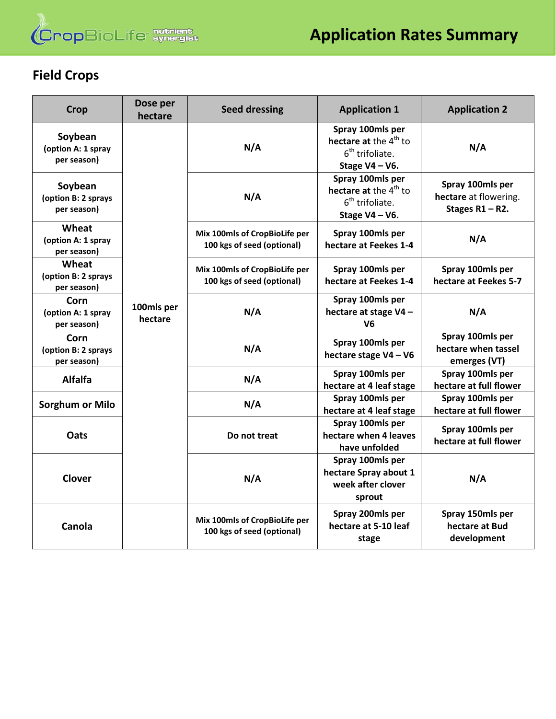

# **Field Crops**

| <b>Crop</b>                                   | Dose per<br>hectare   | <b>Seed dressing</b>                                        | <b>Application 1</b>                                                                            | <b>Application 2</b>                                            |
|-----------------------------------------------|-----------------------|-------------------------------------------------------------|-------------------------------------------------------------------------------------------------|-----------------------------------------------------------------|
| Soybean<br>(option A: 1 spray<br>per season)  |                       | N/A                                                         | Spray 100mls per<br>hectare at the 4 <sup>th</sup> to<br>$6th$ trifoliate.<br>Stage $V4 - V6$ . | N/A                                                             |
| Soybean<br>(option B: 2 sprays<br>per season) |                       | N/A                                                         | Spray 100mls per<br>hectare at the 4 <sup>th</sup> to<br>$6th$ trifoliate.<br>Stage $V4 - V6$ . | Spray 100mls per<br>hectare at flowering.<br>Stages $R1 - R2$ . |
| Wheat<br>(option A: 1 spray<br>per season)    |                       | Mix 100mls of CropBioLife per<br>100 kgs of seed (optional) | Spray 100mls per<br>hectare at Feekes 1-4                                                       | N/A                                                             |
| Wheat<br>(option B: 2 sprays<br>per season)   |                       | Mix 100mls of CropBioLife per<br>100 kgs of seed (optional) | Spray 100mls per<br>hectare at Feekes 1-4                                                       | Spray 100mls per<br>hectare at Feekes 5-7                       |
| Corn<br>(option A: 1 spray<br>per season)     | 100mls per<br>hectare | N/A                                                         | Spray 100mls per<br>hectare at stage V4-<br>V <sub>6</sub>                                      | N/A                                                             |
| Corn<br>(option B: 2 sprays<br>per season)    |                       | N/A                                                         | Spray 100mls per<br>hectare stage V4 - V6                                                       | Spray 100mls per<br>hectare when tassel<br>emerges (VT)         |
| <b>Alfalfa</b>                                |                       | N/A                                                         | Spray 100mls per<br>hectare at 4 leaf stage                                                     | Spray 100mls per<br>hectare at full flower                      |
| <b>Sorghum or Milo</b>                        |                       | N/A                                                         | Spray 100mls per<br>hectare at 4 leaf stage                                                     | Spray 100mls per<br>hectare at full flower                      |
| Oats                                          |                       | Do not treat                                                | Spray 100mls per<br>hectare when 4 leaves<br>have unfolded                                      | Spray 100mls per<br>hectare at full flower                      |
| <b>Clover</b>                                 |                       | N/A                                                         | Spray 100mls per<br>hectare Spray about 1<br>week after clover<br>sprout                        | N/A                                                             |
| Canola                                        |                       | Mix 100mls of CropBioLife per<br>100 kgs of seed (optional) | Spray 200mls per<br>hectare at 5-10 leaf<br>stage                                               | Spray 150mls per<br>hectare at Bud<br>development               |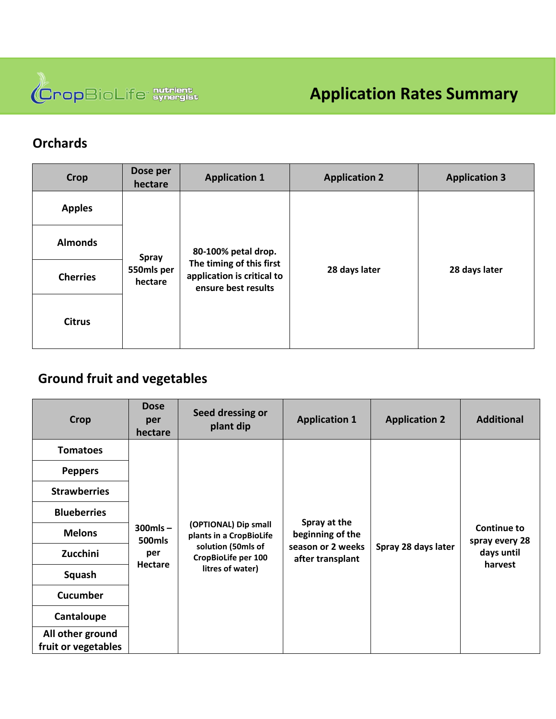

### **Orchards**

| <b>Crop</b>     | Dose per<br>hectare            | <b>Application 1</b>                                                                                 | <b>Application 2</b> | <b>Application 3</b> |
|-----------------|--------------------------------|------------------------------------------------------------------------------------------------------|----------------------|----------------------|
| <b>Apples</b>   | Spray<br>550mls per<br>hectare | 80-100% petal drop.<br>The timing of this first<br>application is critical to<br>ensure best results | 28 days later        | 28 days later        |
| <b>Almonds</b>  |                                |                                                                                                      |                      |                      |
| <b>Cherries</b> |                                |                                                                                                      |                      |                      |
| <b>Citrus</b>   |                                |                                                                                                      |                      |                      |

## **Ground fruit and vegetables**

| <b>Crop</b>                             | <b>Dose</b><br>per<br>hectare | Seed dressing or<br>plant dip                   | <b>Application 1</b>                  | <b>Application 2</b> | <b>Additional</b>            |
|-----------------------------------------|-------------------------------|-------------------------------------------------|---------------------------------------|----------------------|------------------------------|
| <b>Tomatoes</b>                         |                               |                                                 |                                       |                      |                              |
| <b>Peppers</b>                          |                               |                                                 |                                       |                      |                              |
| <b>Strawberries</b>                     |                               |                                                 |                                       |                      |                              |
| <b>Blueberries</b>                      |                               |                                                 |                                       |                      |                              |
| <b>Melons</b>                           | $300$ mls $-$<br>500mls       | (OPTIONAL) Dip small<br>plants in a CropBioLife | Spray at the<br>beginning of the      |                      | <b>Continue to</b>           |
| Zucchini                                | per                           | solution (50mls of<br>CropBioLife per 100       | season or 2 weeks<br>after transplant | Spray 28 days later  | spray every 28<br>days until |
| Squash                                  | Hectare                       | litres of water)                                |                                       |                      | harvest                      |
| <b>Cucumber</b>                         |                               |                                                 |                                       |                      |                              |
| Cantaloupe                              |                               |                                                 |                                       |                      |                              |
| All other ground<br>fruit or vegetables |                               |                                                 |                                       |                      |                              |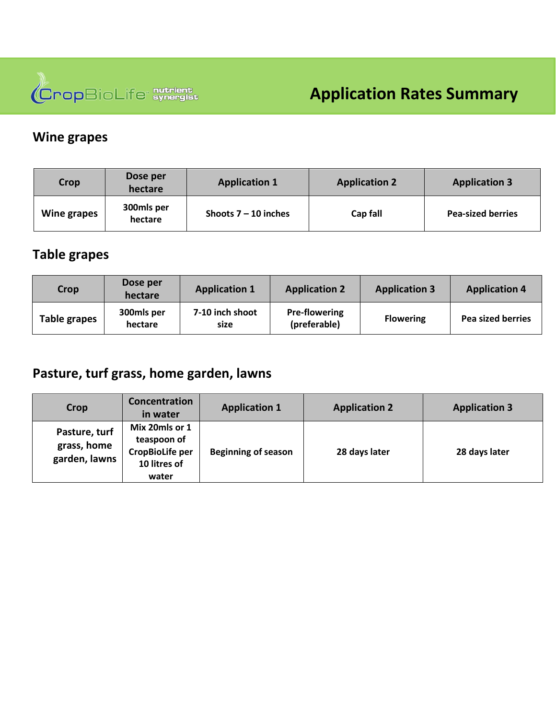

#### **Wine grapes**

| <b>Crop</b> | Dose per<br>hectare   | <b>Application 1</b>   | <b>Application 2</b> | <b>Application 3</b>     |
|-------------|-----------------------|------------------------|----------------------|--------------------------|
| Wine grapes | 300mls per<br>hectare | Shoots $7 - 10$ inches | Cap fall             | <b>Pea-sized berries</b> |

#### **Table grapes**

| Crop         | Dose per<br>hectare   | <b>Application 1</b>    | <b>Application 2</b>                 | <b>Application 3</b> | <b>Application 4</b>     |
|--------------|-----------------------|-------------------------|--------------------------------------|----------------------|--------------------------|
| Table grapes | 300mls per<br>hectare | 7-10 inch shoot<br>size | <b>Pre-flowering</b><br>(preferable) | <b>Flowering</b>     | <b>Pea sized berries</b> |

## **Pasture, turf grass, home garden, lawns**

| Crop                                          | Concentration<br>in water                                                 | <b>Application 1</b>       | <b>Application 2</b> | <b>Application 3</b> |
|-----------------------------------------------|---------------------------------------------------------------------------|----------------------------|----------------------|----------------------|
| Pasture, turf<br>grass, home<br>garden, lawns | Mix 20mls or 1<br>teaspoon of<br>CropBioLife per<br>10 litres of<br>water | <b>Beginning of season</b> | 28 days later        | 28 days later        |